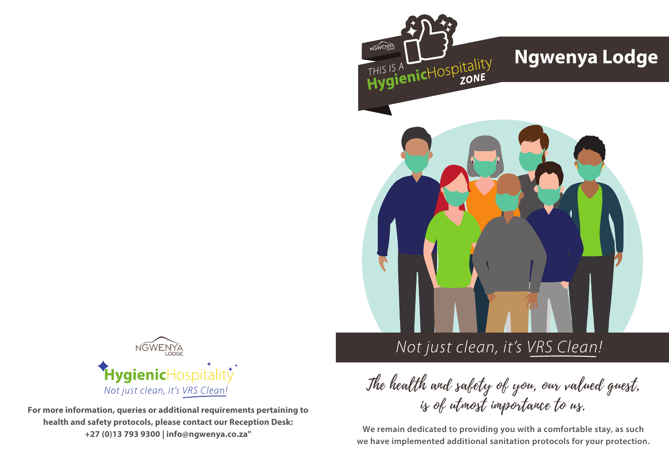



**For more information, queries or additional requirements pertaining to health and safety protocols, please contact our Reception Desk: +27 (0)13 793 9300 | info@ngwenya.co.za"**

# Not just clean, it's VRS Clean!

The health and safety of you, our valued guest, is of utmost importance to us.

**We remain dedicated to providing you with a comfortable stay, as such we have implemented additional sanitation protocols for your protection.**